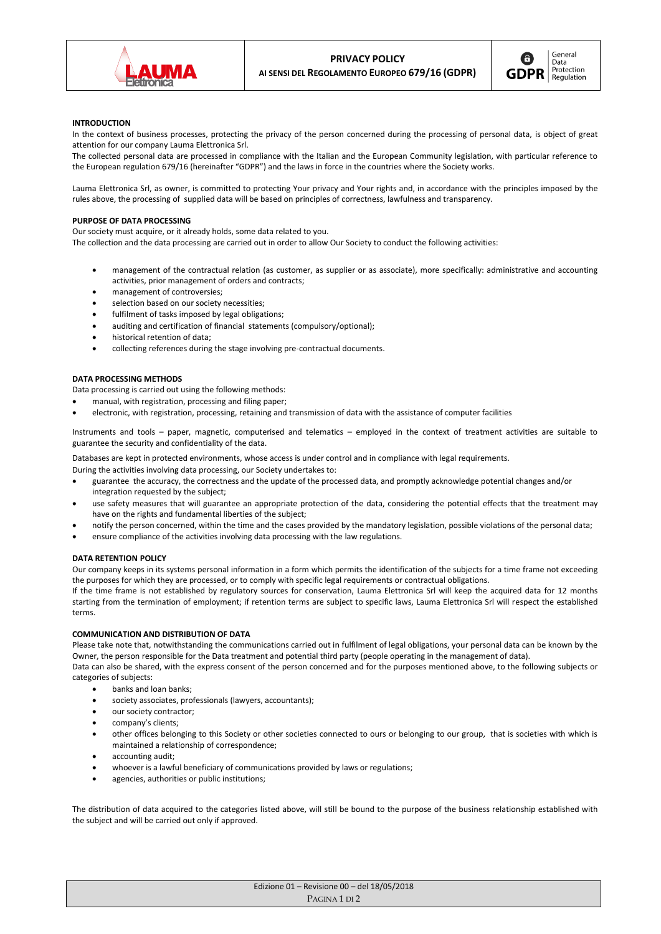



## **INTRODUCTION**

In the context of business processes, protecting the privacy of the person concerned during the processing of personal data, is object of great attention for our company Lauma Elettronica Srl.

The collected personal data are processed in compliance with the Italian and the European Community legislation, with particular reference to the European regulation 679/16 (hereinafter "GDPR") and the laws in force in the countries where the Society works.

Lauma Elettronica Srl, as owner, is committed to protecting Your privacy and Your rights and, in accordance with the principles imposed by the rules above, the processing of supplied data will be based on principles of correctness, lawfulness and transparency.

### **PURPOSE OF DATA PROCESSING**

Our society must acquire, or it already holds, some data related to you.

The collection and the data processing are carried out in order to allow Our Society to conduct the following activities:

- management of the contractual relation (as customer, as supplier or as associate), more specifically: administrative and accounting activities, prior management of orders and contracts;
- management of controversies;
- selection based on our society necessities;
- fulfilment of tasks imposed by legal obligations;
- auditing and certification of financial statements (compulsory/optional);
- historical retention of data;
- collecting references during the stage involving pre-contractual documents.

### **DATA PROCESSING METHODS**

Data processing is carried out using the following methods:

- manual, with registration, processing and filing paper;
- electronic, with registration, processing, retaining and transmission of data with the assistance of computer facilities

Instruments and tools – paper, magnetic, computerised and telematics – employed in the context of treatment activities are suitable to guarantee the security and confidentiality of the data.

Databases are kept in protected environments, whose access is under control and in compliance with legal requirements.

During the activities involving data processing, our Society undertakes to:

- guarantee the accuracy, the correctness and the update of the processed data, and promptly acknowledge potential changes and/or integration requested by the subject;
- use safety measures that will guarantee an appropriate protection of the data, considering the potential effects that the treatment may have on the rights and fundamental liberties of the subject;
- notify the person concerned, within the time and the cases provided by the mandatory legislation, possible violations of the personal data;
- ensure compliance of the activities involving data processing with the law regulations.

### **DATA RETENTION POLICY**

Our company keeps in its systems personal information in a form which permits the identification of the subjects for a time frame not exceeding the purposes for which they are processed, or to comply with specific legal requirements or contractual obligations.

If the time frame is not established by regulatory sources for conservation, Lauma Elettronica Srl will keep the acquired data for 12 months starting from the termination of employment; if retention terms are subject to specific laws, Lauma Elettronica Srl will respect the established terms.

### **COMMUNICATION AND DISTRIBUTION OF DATA**

Please take note that, notwithstanding the communications carried out in fulfilment of legal obligations, your personal data can be known by the Owner, the person responsible for the Data treatment and potential third party (people operating in the management of data).

Data can also be shared, with the express consent of the person concerned and for the purposes mentioned above, to the following subjects or categories of subjects:

- banks and loan banks;
- society associates, professionals (lawyers, accountants);
- our society contractor;
- company's clients;
- other offices belonging to this Society or other societies connected to ours or belonging to our group, that is societies with which is maintained a relationship of correspondence;
- accounting audit;
- whoever is a lawful beneficiary of communications provided by laws or regulations;
- agencies, authorities or public institutions;

The distribution of data acquired to the categories listed above, will still be bound to the purpose of the business relationship established with the subject and will be carried out only if approved.

| Edizione 01 - Revisione 00 - del $18/05/2018$ |  |
|-----------------------------------------------|--|
| PAGINA 1 DI 2                                 |  |